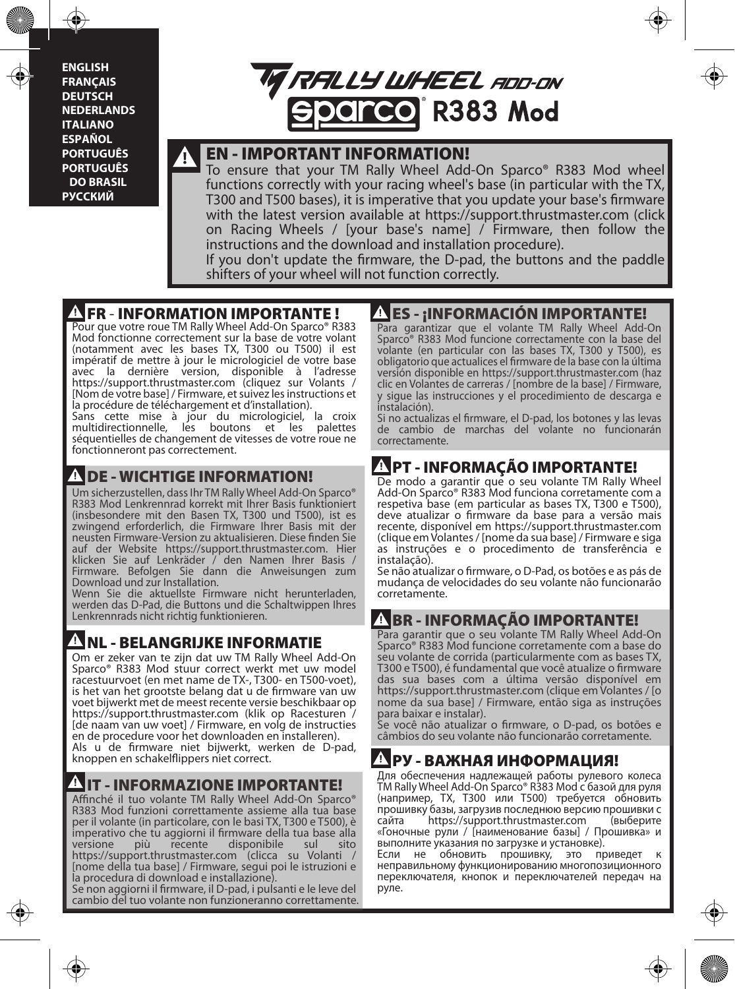**ENGLISH FRANÇAIS DEUTSCH NEDERLANDS ITALIANO ESPAÑOL PORTUGUÊS PORTUGUÊS DO BRASIL РУССКИЙ**



#### EN - IMPORTANT INFORMATION!

To ensure that your TM Rally Wheel Add-On Sparco® R383 Mod wheel functions correctly with your racing wheel's base (in particular with the TX, T300 and T500 bases), it is imperative that you update your base's firmware with the latest version available at https://support.thrustmaster.com (click on Racing Wheels / [your base's name] / Firmware, then follow the instructions and the download and installation procedure).

If you don't update the firmware, the D-pad, the buttons and the paddle shifters of your wheel will not function correctly.

#### **FR - INFORMATION IMPORTANTE!**

Pour que votre roue TM Rally Wheel Add-On Sparco® R383 Mod fonctionne correctement sur la base de votre volant (notamment avec les bases TX, T300 ou T500) il est impératif de mettre à jour le micrologiciel de votre base avec la dernière version, disponible à l'adresse https://support.thrustmaster.com (cliquez sur Volants / [Nom de votre base] / Firmware, et suivez les instructions et la procédure de téléchargement et d'installation).

Sans cette mise à jour du micrologiciel, la croix<br>multidirectionnelle, les boutons et les palettes multidirectionnelle, les boutons et les séquentielles de changement de vitesses de votre roue ne fonctionneront pas correctement.

#### **A DE - WICHTIGE INFORMATION!**

Um sicherzustellen, dass Ihr TM Rally Wheel Add-On Sparco® R383 Mod Lenkrennrad korrekt mit Ihrer Basis funktioniert (insbesondere mit den Basen TX, T300 und T500), ist es zwingend erforderlich, die Firmware Ihrer Basis mit der neusten Firmware-Version zu aktualisieren. Diese nden Sie auf der Website https://support.thrustmaster.com. Hier klicken Sie auf Lenkräder / den Namen Ihrer Basis / Firmware. Befolgen Sie dann die Anweisungen zum Download und zur Installation.

Wenn Sie die aktuellste Firmware nicht herunterladen, werden das D-Pad, die Buttons und die Schaltwippen Ihres Lenkrennrads nicht richtig funktionieren.

#### NL - BELANGRIJKE INFORMATIE

Om er zeker van te zijn dat uw TM Rally Wheel Add-On Sparco® R383 Mod stuur correct werkt met uw model racestuurvoet (en met name de TX-, T300- en T500-voet), is het van het grootste belang dat u de firmware van uw voet bijwerkt met de meest recente versie beschikbaar op https://support.thrustmaster.com (klik op Racesturen / [de naam van uw voet] / Firmware, en volg de instructies en de procedure voor het downloaden en installeren). Als u de firmware niet bijwerkt, werken de D-pad, knoppen en schakelippers niet correct.

#### **INFORMAZIONE IMPORTANTE!**

Affinché il tuo volante TM Rally Wheel Add-On Sparco® R383 Mod funzioni correttamente assieme alla tua base per il volante (in particolare, con le basi TX, T300 e T500), è imperativo che tu aggiorni il firmware della tua base alla<br>versione più recente disponibile sul sito disponibile https://support.thrustmaster.com (clicca su Volanti / [nome della tua base] / Firmware, segui poi le istruzioni e la procedura di download e installazione).

Se non aggiorni il firmware, il D-pad, i pulsanti e le leve del cambio del tuo volante non funzioneranno correttamente.

#### ES - ¡INFORMACIÓN IMPORTANTE!

Para garantizar que el volante TM Rally Wheel Add-On Sparco® R383 Mod funcione correctamente con la base del volante (en particular con las bases TX, T300 y T500), es obligatorio que actualices el rmware de la base con la última versión disponible en https://support.thrustmaster.com (haz clic en Volantes de carreras / [nombre de la base] / Firmware, y sigue las instrucciones y el procedimiento de descarga e instalación).

Si no actualizas el firmware, el D-pad, los botones y las levas de cambio de marchas del volante no funcionarán correctamente.

### PT - INFORMAÇÃO IMPORTANTE!

De modo a garantir que o seu volante TM Rally Wheel Add-On Sparco® R383 Mod funciona corretamente com a respetiva base (em particular as bases TX, T300 e T500), deve atualizar o firmware da base para a versão mais recente, disponível em https://support.thrustmaster.com (clique em Volantes / [nome da sua base] / Firmware e siga as instruções e o procedimento de transferência e instalação).

Se não atualizar o firmware, o D-Pad, os botões e as pás de mudança de velocidades do seu volante não funcionarão corretamente.

#### **BR - INFORMAÇÃO IMPORTANTE!**

Para garantir que o seu volante TM Rally Wheel Add-On Sparco® R383 Mod funcione corretamente com a base do seu volante de corrida (particularmente com as bases TX, T300 e T500), é fundamental que você atualize o firmware das sua bases com a última versão disponível em https://support.thrustmaster.com (clique em Volantes / [o nome da sua base] / Firmware, então siga as instruções para baixar e instalar).

Se você não atualizar o firmware, o D-pad, os botões e câmbios do seu volante não funcionarão corretamente.

#### РУ - ВАЖНАЯ ИНФОРМАЦИЯ!

Для обеспечения надлежащей работы рулевого колеса TM Rally Wheel Add-On Sparco® R383 Mod с базой для руля (например, TX, T300 или T500) требуется обновить прошивку базы, загрузив последнюю версию прошивки с https://support.thrustmaster.com «Гоночные рули / [наименование базы] / Прошивка» и выполните указания по загрузке и установке).

Если не обновить прошивку, это приведет к неправильному функционированию многопозиционного переключателя, кнопок и переключателей передач на руле.